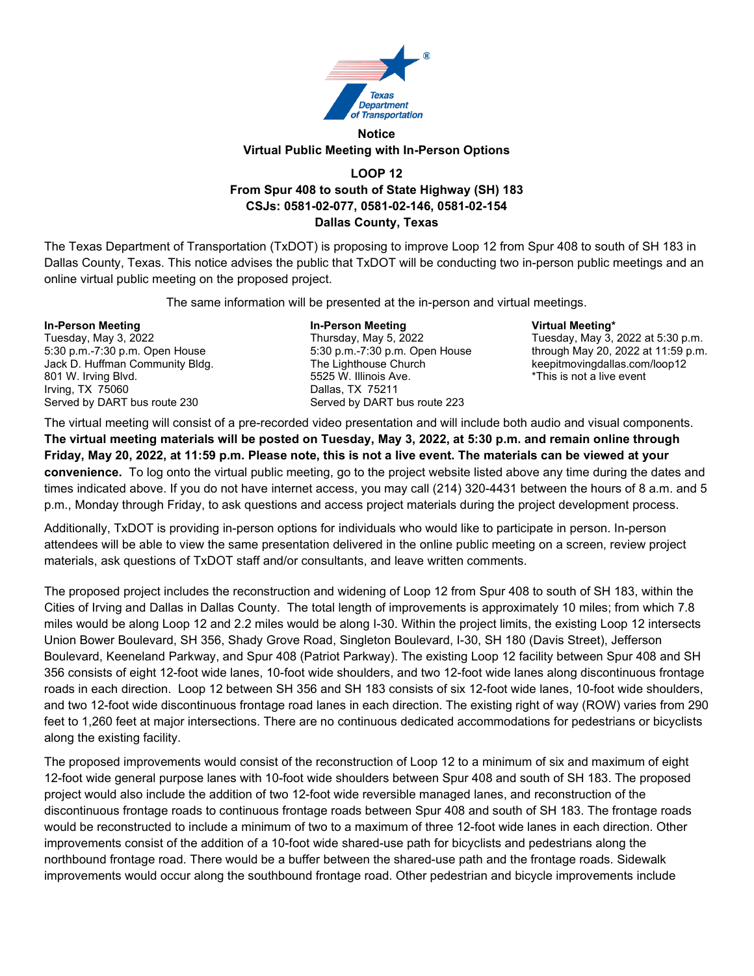

## **Notice Virtual Public Meeting with In-Person Options**

## **LOOP 12 From Spur 408 to south of State Highway (SH) 183 CSJs: 0581-02-077, 0581-02-146, 0581-02-154 Dallas County, Texas**

The Texas Department of Transportation (TxDOT) is proposing to improve Loop 12 from Spur 408 to south of SH 183 in Dallas County, Texas. This notice advises the public that TxDOT will be conducting two in-person public meetings and an online virtual public meeting on the proposed project.

The same information will be presented at the in-person and virtual meetings.

**In-Person Meeting In-Person Meeting Virtual Meeting\*** Jack D. Huffman Community Bldg. 801 W. Irving Blvd. The state of the state of the state of the state of the state of the state of the state of the state of the state of the state of the state of the state of the state of the state of the state of the sta Irving, TX 75060<br>
Served by DART bus route 230 Served by DART business and DART business of the Served by DART b

Served by DART bus route 223

Tuesday, May 3, 2022 Thursday, May 5, 2022 Tuesday, May 3, 2022 at 5:30 p.m. 5:30 p.m.-7:30 p.m. Open House 5:30 p.m. -7:30 p.m.<br>The Lighthouse Church through May 20, 2022 at 11:59 p.m.

The virtual meeting will consist of a pre-recorded video presentation and will include both audio and visual components. **The virtual meeting materials will be posted on Tuesday, May 3, 2022, at 5:30 p.m. and remain online through Friday, May 20, 2022, at 11:59 p.m. Please note, this is not a live event. The materials can be viewed at your convenience.** To log onto the virtual public meeting, go to the project website listed above any time during the dates and times indicated above. If you do not have internet access, you may call (214) 320-4431 between the hours of 8 a.m. and 5 p.m., Monday through Friday, to ask questions and access project materials during the project development process.

Additionally, TxDOT is providing in-person options for individuals who would like to participate in person. In-person attendees will be able to view the same presentation delivered in the online public meeting on a screen, review project materials, ask questions of TxDOT staff and/or consultants, and leave written comments.

The proposed project includes the reconstruction and widening of Loop 12 from Spur 408 to south of SH 183, within the Cities of Irving and Dallas in Dallas County. The total length of improvements is approximately 10 miles; from which 7.8 miles would be along Loop 12 and 2.2 miles would be along I-30. Within the project limits, the existing Loop 12 intersects Union Bower Boulevard, SH 356, Shady Grove Road, Singleton Boulevard, I-30, SH 180 (Davis Street), Jefferson Boulevard, Keeneland Parkway, and Spur 408 (Patriot Parkway). The existing Loop 12 facility between Spur 408 and SH 356 consists of eight 12-foot wide lanes, 10-foot wide shoulders, and two 12-foot wide lanes along discontinuous frontage roads in each direction. Loop 12 between SH 356 and SH 183 consists of six 12-foot wide lanes, 10-foot wide shoulders, and two 12-foot wide discontinuous frontage road lanes in each direction. The existing right of way (ROW) varies from 290 feet to 1,260 feet at major intersections. There are no continuous dedicated accommodations for pedestrians or bicyclists along the existing facility.

The proposed improvements would consist of the reconstruction of Loop 12 to a minimum of six and maximum of eight 12-foot wide general purpose lanes with 10-foot wide shoulders between Spur 408 and south of SH 183. The proposed project would also include the addition of two 12-foot wide reversible managed lanes, and reconstruction of the discontinuous frontage roads to continuous frontage roads between Spur 408 and south of SH 183. The frontage roads would be reconstructed to include a minimum of two to a maximum of three 12-foot wide lanes in each direction. Other improvements consist of the addition of a 10-foot wide shared-use path for bicyclists and pedestrians along the northbound frontage road. There would be a buffer between the shared-use path and the frontage roads. Sidewalk improvements would occur along the southbound frontage road. Other pedestrian and bicycle improvements include